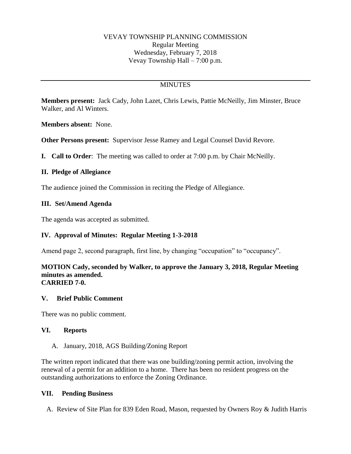# **MINUTES**

**Members present:** Jack Cady, John Lazet, Chris Lewis, Pattie McNeilly, Jim Minster, Bruce Walker, and Al Winters.

**Members absent:** None.

**Other Persons present:** Supervisor Jesse Ramey and Legal Counsel David Revore.

**I. Call to Order**: The meeting was called to order at 7:00 p.m. by Chair McNeilly.

# **II. Pledge of Allegiance**

The audience joined the Commission in reciting the Pledge of Allegiance.

# **III. Set/Amend Agenda**

The agenda was accepted as submitted.

# **IV. Approval of Minutes: Regular Meeting 1-3-2018**

Amend page 2, second paragraph, first line, by changing "occupation" to "occupancy".

#### **MOTION Cady, seconded by Walker, to approve the January 3, 2018, Regular Meeting minutes as amended. CARRIED 7-0.**

### **V. Brief Public Comment**

There was no public comment.

### **VI. Reports**

A. January, 2018, AGS Building/Zoning Report

The written report indicated that there was one building/zoning permit action, involving the renewal of a permit for an addition to a home. There has been no resident progress on the outstanding authorizations to enforce the Zoning Ordinance.

### **VII. Pending Business**

A. Review of Site Plan for 839 Eden Road, Mason, requested by Owners Roy & Judith Harris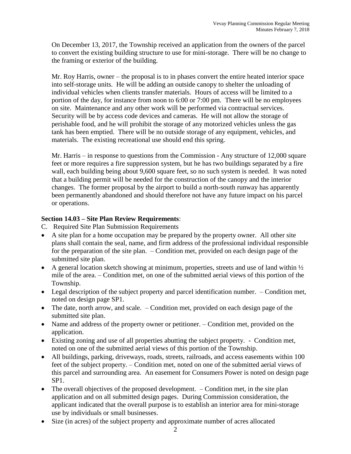On December 13, 2017, the Township received an application from the owners of the parcel to convert the existing building structure to use for mini-storage. There will be no change to the framing or exterior of the building.

Mr. Roy Harris, owner – the proposal is to in phases convert the entire heated interior space into self-storage units. He will be adding an outside canopy to shelter the unloading of individual vehicles when clients transfer materials. Hours of access will be limited to a portion of the day, for instance from noon to 6:00 or 7:00 pm. There will be no employees on site. Maintenance and any other work will be performed via contractual services. Security will be by access code devices and cameras. He will not allow the storage of perishable food, and he will prohibit the storage of any motorized vehicles unless the gas tank has been emptied. There will be no outside storage of any equipment, vehicles, and materials. The existing recreational use should end this spring.

Mr. Harris – in response to questions from the Commission - Any structure of 12,000 square feet or more requires a fire suppression system, but he has two buildings separated by a fire wall, each building being about 9,600 square feet, so no such system is needed. It was noted that a building permit will be needed for the construction of the canopy and the interior changes. The former proposal by the airport to build a north-south runway has apparently been permanently abandoned and should therefore not have any future impact on his parcel or operations.

#### **Section 14.03 – Site Plan Review Requirements**:

- C. Required Site Plan Submission Requirements
- A site plan for a home occupation may be prepared by the property owner. All other site plans shall contain the seal, name, and firm address of the professional individual responsible for the preparation of the site plan. – Condition met, provided on each design page of the submitted site plan.
- A general location sketch showing at minimum, properties, streets and use of land within  $\frac{1}{2}$ mile of the area. – Condition met, on one of the submitted aerial views of this portion of the Township.
- Legal description of the subject property and parcel identification number. Condition met, noted on design page SP1.
- The date, north arrow, and scale. Condition met, provided on each design page of the submitted site plan.
- Name and address of the property owner or petitioner. Condition met, provided on the application.
- Existing zoning and use of all properties abutting the subject property. Condition met, noted on one of the submitted aerial views of this portion of the Township.
- All buildings, parking, driveways, roads, streets, railroads, and access easements within 100 feet of the subject property. – Condition met, noted on one of the submitted aerial views of this parcel and surrounding area. An easement for Consumers Power is noted on design page SP1.
- $\bullet$  The overall objectives of the proposed development.  $\overline{\phantom{a}}$  Condition met, in the site plan application and on all submitted design pages. During Commission consideration, the applicant indicated that the overall purpose is to establish an interior area for mini-storage use by individuals or small businesses.
- Size (in acres) of the subject property and approximate number of acres allocated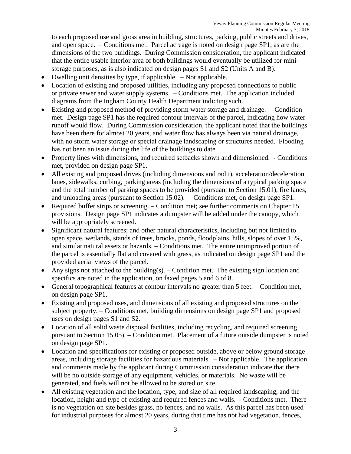to each proposed use and gross area in building, structures, parking, public streets and drives, and open space. – Conditions met. Parcel acreage is noted on design page SP1, as are the dimensions of the two buildings. During Commission consideration, the applicant indicated that the entire usable interior area of both buildings would eventually be utilized for ministorage purposes, as is also indicated on design pages S1 and S2 (Units A and B).

- Dwelling unit densities by type, if applicable. Not applicable.
- Location of existing and proposed utilities, including any proposed connections to public or private sewer and water supply systems. – Conditions met. The application included diagrams from the Ingham County Health Department indicting such.
- Existing and proposed method of providing storm water storage and drainage. Condition met. Design page SP1 has the required contour intervals of the parcel, indicating how water runoff would flow. During Commission consideration, the applicant noted that the buildings have been there for almost 20 years, and water flow has always been via natural drainage, with no storm water storage or special drainage landscaping or structures needed. Flooding has not been an issue during the life of the buildings to date.
- Property lines with dimensions, and required setbacks shown and dimensioned. Conditions met, provided on design page SP1.
- All existing and proposed drives (including dimensions and radii), acceleration/deceleration lanes, sidewalks, curbing, parking areas (including the dimensions of a typical parking space and the total number of parking spaces to be provided (pursuant to Section 15.01), fire lanes, and unloading areas (pursuant to Section 15.02). – Conditions met, on design page SP1.
- Required buffer strips or screening. Condition met; see further comments on Chapter 15 provisions. Design page SP1 indicates a dumpster will be added under the canopy, which will be appropriately screened.
- Significant natural features; and other natural characteristics, including but not limited to open space, wetlands, stands of trees, brooks, ponds, floodplains, hills, slopes of over 15%, and similar natural assets or hazards. – Conditions met. The entire unimproved portion of the parcel is essentially flat and covered with grass, as indicated on design page SP1 and the provided aerial views of the parcel.
- Any signs not attached to the building(s).  $-$  Condition met. The existing sign location and specifics are noted in the application, on faxed pages 5 and 6 of 8.
- General topographical features at contour intervals no greater than 5 feet. Condition met, on design page SP1.
- Existing and proposed uses, and dimensions of all existing and proposed structures on the subject property. – Conditions met, building dimensions on design page SP1 and proposed uses on design pages S1 and S2.
- Location of all solid waste disposal facilities, including recycling, and required screening pursuant to Section 15.05). – Condition met. Placement of a future outside dumpster is noted on design page SP1.
- Location and specifications for existing or proposed outside, above or below ground storage areas, including storage facilities for hazardous materials. – Not applicable. The application and comments made by the applicant during Commission consideration indicate that there will be no outside storage of any equipment, vehicles, or materials. No waste will be generated, and fuels will not be allowed to be stored on site.
- All existing vegetation and the location, type, and size of all required landscaping, and the location, height and type of existing and required fences and walls. - Conditions met. There is no vegetation on site besides grass, no fences, and no walls. As this parcel has been used for industrial purposes for almost 20 years, during that time has not had vegetation, fences,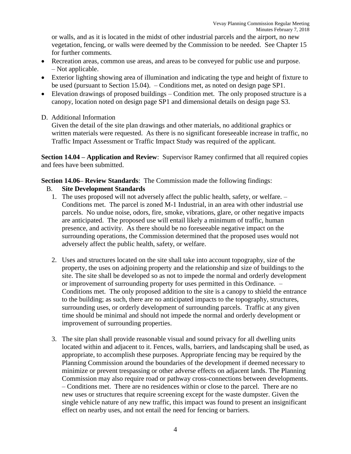or walls, and as it is located in the midst of other industrial parcels and the airport, no new vegetation, fencing, or walls were deemed by the Commission to be needed. See Chapter 15 for further comments.

- Recreation areas, common use areas, and areas to be conveyed for public use and purpose. – Not applicable.
- Exterior lighting showing area of illumination and indicating the type and height of fixture to be used (pursuant to Section 15.04). – Conditions met, as noted on design page SP1.
- Elevation drawings of proposed buildings Condition met. The only proposed structure is a canopy, location noted on design page SP1 and dimensional details on design page S3.
- D. Additional Information

Given the detail of the site plan drawings and other materials, no additional graphics or written materials were requested. As there is no significant foreseeable increase in traffic, no Traffic Impact Assessment or Traffic Impact Study was required of the applicant.

**Section 14.04 – Application and Review**: Supervisor Ramey confirmed that all required copies and fees have been submitted.

**Section 14.06– Review Standards**: The Commission made the following findings:

- B. **Site Development Standards**
	- 1. The uses proposed will not adversely affect the public health, safety, or welfare. Conditions met. The parcel is zoned M-1 Industrial, in an area with other industrial use parcels. No undue noise, odors, fire, smoke, vibrations, glare, or other negative impacts are anticipated. The proposed use will entail likely a minimum of traffic, human presence, and activity. As there should be no foreseeable negative impact on the surrounding operations, the Commission determined that the proposed uses would not adversely affect the public health, safety, or welfare.
	- 2. Uses and structures located on the site shall take into account topography, size of the property, the uses on adjoining property and the relationship and size of buildings to the site. The site shall be developed so as not to impede the normal and orderly development or improvement of surrounding property for uses permitted in this Ordinance. – Conditions met. The only proposed addition to the site is a canopy to shield the entrance to the building; as such, there are no anticipated impacts to the topography, structures, surrounding uses, or orderly development of surrounding parcels. Traffic at any given time should be minimal and should not impede the normal and orderly development or improvement of surrounding properties.
	- 3. The site plan shall provide reasonable visual and sound privacy for all dwelling units located within and adjacent to it. Fences, walls, barriers, and landscaping shall be used, as appropriate, to accomplish these purposes. Appropriate fencing may be required by the Planning Commission around the boundaries of the development if deemed necessary to minimize or prevent trespassing or other adverse effects on adjacent lands. The Planning Commission may also require road or pathway cross-connections between developments. – Conditions met. There are no residences within or close to the parcel. There are no new uses or structures that require screening except for the waste dumpster. Given the single vehicle nature of any new traffic, this impact was found to present an insignificant effect on nearby uses, and not entail the need for fencing or barriers.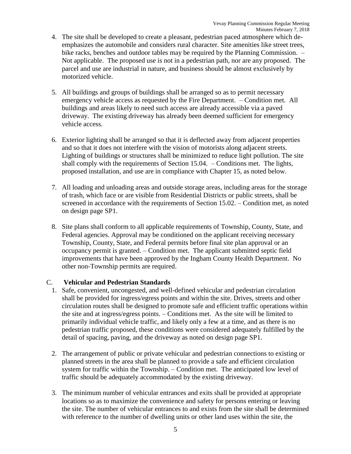- 4. The site shall be developed to create a pleasant, pedestrian paced atmosphere which deemphasizes the automobile and considers rural character. Site amenities like street trees, bike racks, benches and outdoor tables may be required by the Planning Commission. – Not applicable. The proposed use is not in a pedestrian path, nor are any proposed. The parcel and use are industrial in nature, and business should be almost exclusively by motorized vehicle.
- 5. All buildings and groups of buildings shall be arranged so as to permit necessary emergency vehicle access as requested by the Fire Department. – Condition met. All buildings and areas likely to need such access are already accessible via a paved driveway. The existing driveway has already been deemed sufficient for emergency vehicle access.
- 6. Exterior lighting shall be arranged so that it is deflected away from adjacent properties and so that it does not interfere with the vision of motorists along adjacent streets. Lighting of buildings or structures shall be minimized to reduce light pollution. The site shall comply with the requirements of Section 15.04. – Conditions met. The lights, proposed installation, and use are in compliance with Chapter 15, as noted below.
- 7. All loading and unloading areas and outside storage areas, including areas for the storage of trash, which face or are visible from Residential Districts or public streets, shall be screened in accordance with the requirements of Section 15.02. – Condition met, as noted on design page SP1.
- 8. Site plans shall conform to all applicable requirements of Township, County, State, and Federal agencies. Approval may be conditioned on the applicant receiving necessary Township, County, State, and Federal permits before final site plan approval or an occupancy permit is granted. – Condition met. The applicant submitted septic field improvements that have been approved by the Ingham County Health Department. No other non-Township permits are required.

### C. **Vehicular and Pedestrian Standards**

- 1. Safe, convenient, uncongested, and well-defined vehicular and pedestrian circulation shall be provided for ingress/egress points and within the site. Drives, streets and other circulation routes shall be designed to promote safe and efficient traffic operations within the site and at ingress/egress points. – Conditions met. As the site will be limited to primarily individual vehicle traffic, and likely only a few at a time, and as there is no pedestrian traffic proposed, these conditions were considered adequately fulfilled by the detail of spacing, paving, and the driveway as noted on design page SP1.
- 2. The arrangement of public or private vehicular and pedestrian connections to existing or planned streets in the area shall be planned to provide a safe and efficient circulation system for traffic within the Township. – Condition met. The anticipated low level of traffic should be adequately accommodated by the existing driveway.
- 3. The minimum number of vehicular entrances and exits shall be provided at appropriate locations so as to maximize the convenience and safety for persons entering or leaving the site. The number of vehicular entrances to and exists from the site shall be determined with reference to the number of dwelling units or other land uses within the site, the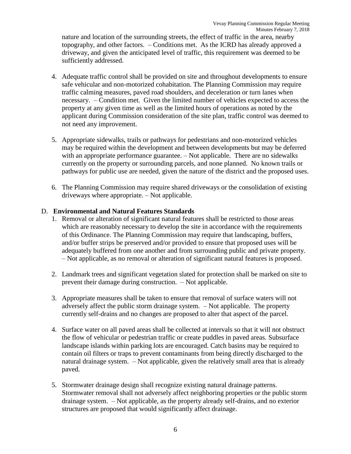nature and location of the surrounding streets, the effect of traffic in the area, nearby topography, and other factors. – Conditions met. As the ICRD has already approved a driveway, and given the anticipated level of traffic, this requirement was deemed to be sufficiently addressed.

- 4. Adequate traffic control shall be provided on site and throughout developments to ensure safe vehicular and non-motorized cohabitation. The Planning Commission may require traffic calming measures, paved road shoulders, and deceleration or turn lanes when necessary. – Condition met. Given the limited number of vehicles expected to access the property at any given time as well as the limited hours of operations as noted by the applicant during Commission consideration of the site plan, traffic control was deemed to not need any improvement.
- 5. Appropriate sidewalks, trails or pathways for pedestrians and non-motorized vehicles may be required within the development and between developments but may be deferred with an appropriate performance guarantee. – Not applicable. There are no sidewalks currently on the property or surrounding parcels, and none planned. No known trails or pathways for public use are needed, given the nature of the district and the proposed uses.
- 6. The Planning Commission may require shared driveways or the consolidation of existing driveways where appropriate. – Not applicable.

#### D. **Environmental and Natural Features Standards**

- 1. Removal or alteration of significant natural features shall be restricted to those areas which are reasonably necessary to develop the site in accordance with the requirements of this Ordinance. The Planning Commission may require that landscaping, buffers, and/or buffer strips be preserved and/or provided to ensure that proposed uses will be adequately buffered from one another and from surrounding public and private property. – Not applicable, as no removal or alteration of significant natural features is proposed.
- 2. Landmark trees and significant vegetation slated for protection shall be marked on site to prevent their damage during construction. – Not applicable.
- 3. Appropriate measures shall be taken to ensure that removal of surface waters will not adversely affect the public storm drainage system. – Not applicable. The property currently self-drains and no changes are proposed to alter that aspect of the parcel.
- 4. Surface water on all paved areas shall be collected at intervals so that it will not obstruct the flow of vehicular or pedestrian traffic or create puddles in paved areas. Subsurface landscape islands within parking lots are encouraged. Catch basins may be required to contain oil filters or traps to prevent contaminants from being directly discharged to the natural drainage system. – Not applicable, given the relatively small area that is already paved.
- 5. Stormwater drainage design shall recognize existing natural drainage patterns. Stormwater removal shall not adversely affect neighboring properties or the public storm drainage system. – Not applicable, as the property already self-drains, and no exterior structures are proposed that would significantly affect drainage.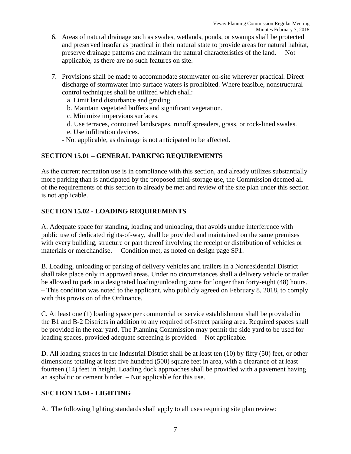- 6. Areas of natural drainage such as swales, wetlands, ponds, or swamps shall be protected and preserved insofar as practical in their natural state to provide areas for natural habitat, preserve drainage patterns and maintain the natural characteristics of the land. – Not applicable, as there are no such features on site.
- 7. Provisions shall be made to accommodate stormwater on-site wherever practical. Direct discharge of stormwater into surface waters is prohibited. Where feasible, nonstructural control techniques shall be utilized which shall:
	- a. Limit land disturbance and grading.
	- b. Maintain vegetated buffers and significant vegetation.
	- c. Minimize impervious surfaces.
	- d. Use terraces, contoured landscapes, runoff spreaders, grass, or rock-lined swales.

e. Use infiltration devices.

- Not applicable, as drainage is not anticipated to be affected.

# **SECTION 15.01 – GENERAL PARKING REQUIREMENTS**

As the current recreation use is in compliance with this section, and already utilizes substantially more parking than is anticipated by the proposed mini-storage use, the Commission deemed all of the requirements of this section to already be met and review of the site plan under this section is not applicable.

# **SECTION 15.02 - LOADING REQUIREMENTS**

A. Adequate space for standing, loading and unloading, that avoids undue interference with public use of dedicated rights-of-way, shall be provided and maintained on the same premises with every building, structure or part thereof involving the receipt or distribution of vehicles or materials or merchandise. – Condition met, as noted on design page SP1.

B. Loading, unloading or parking of delivery vehicles and trailers in a Nonresidential District shall take place only in approved areas. Under no circumstances shall a delivery vehicle or trailer be allowed to park in a designated loading/unloading zone for longer than forty-eight (48) hours. – This condition was noted to the applicant, who publicly agreed on February 8, 2018, to comply with this provision of the Ordinance.

C. At least one (1) loading space per commercial or service establishment shall be provided in the B1 and B-2 Districts in addition to any required off-street parking area. Required spaces shall be provided in the rear yard. The Planning Commission may permit the side yard to be used for loading spaces, provided adequate screening is provided. – Not applicable.

D. All loading spaces in the Industrial District shall be at least ten (10) by fifty (50) feet, or other dimensions totaling at least five hundred (500) square feet in area, with a clearance of at least fourteen (14) feet in height. Loading dock approaches shall be provided with a pavement having an asphaltic or cement binder. – Not applicable for this use.

### **SECTION 15.04 - LIGHTING**

A. The following lighting standards shall apply to all uses requiring site plan review: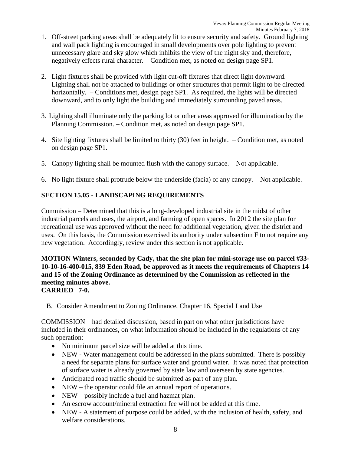- 1. Off-street parking areas shall be adequately lit to ensure security and safety. Ground lighting and wall pack lighting is encouraged in small developments over pole lighting to prevent unnecessary glare and sky glow which inhibits the view of the night sky and, therefore, negatively effects rural character. – Condition met, as noted on design page SP1.
- 2. Light fixtures shall be provided with light cut-off fixtures that direct light downward. Lighting shall not be attached to buildings or other structures that permit light to be directed horizontally. – Conditions met, design page SP1. As required, the lights will be directed downward, and to only light the building and immediately surrounding paved areas.
- 3. Lighting shall illuminate only the parking lot or other areas approved for illumination by the Planning Commission. – Condition met, as noted on design page SP1.
- 4. Site lighting fixtures shall be limited to thirty (30) feet in height. Condition met, as noted on design page SP1.
- 5. Canopy lighting shall be mounted flush with the canopy surface. Not applicable.
- 6. No light fixture shall protrude below the underside (facia) of any canopy. Not applicable.

# **SECTION 15.05 - LANDSCAPING REQUIREMENTS**

Commission – Determined that this is a long-developed industrial site in the midst of other industrial parcels and uses, the airport, and farming of open spaces. In 2012 the site plan for recreational use was approved without the need for additional vegetation, given the district and uses. On this basis, the Commission exercised its authority under subsection F to not require any new vegetation. Accordingly, review under this section is not applicable.

**MOTION Winters, seconded by Cady, that the site plan for mini-storage use on parcel #33- 10-10-16-400-015, 839 Eden Road, be approved as it meets the requirements of Chapters 14 and 15 of the Zoning Ordinance as determined by the Commission as reflected in the meeting minutes above. CARRIED 7-0.**

B. Consider Amendment to Zoning Ordinance, Chapter 16, Special Land Use

COMMISSION – had detailed discussion, based in part on what other jurisdictions have included in their ordinances, on what information should be included in the regulations of any such operation:

- No minimum parcel size will be added at this time.
- NEW Water management could be addressed in the plans submitted. There is possibly a need for separate plans for surface water and ground water. It was noted that protection of surface water is already governed by state law and overseen by state agencies.
- Anticipated road traffic should be submitted as part of any plan.
- NEW the operator could file an annual report of operations.
- NEW possibly include a fuel and hazmat plan.
- An escrow account/mineral extraction fee will not be added at this time.
- NEW A statement of purpose could be added, with the inclusion of health, safety, and welfare considerations.